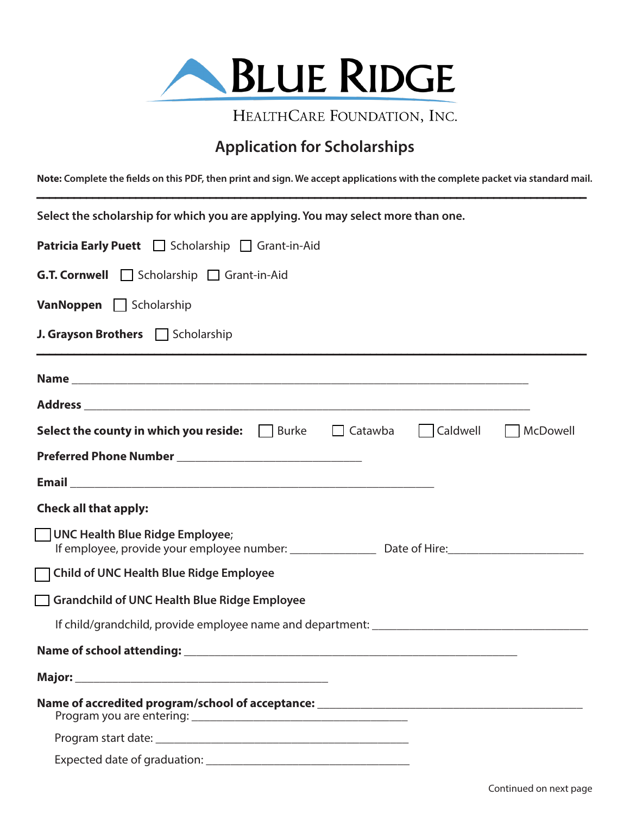

HEALTHCARE FOUNDATION, INC.

## **Application for Scholarships**

**Note: Complete the fields on this PDF, then print and sign. We accept applications with the complete packet via standard mail.**

| Select the scholarship for which you are applying. You may select more than one.                   |
|----------------------------------------------------------------------------------------------------|
| <b>Patricia Early Puett</b>   Scholarship   Grant-in-Aid                                           |
| <b>G.T. Cornwell</b> Scholarship <b>Grant-in-Aid</b>                                               |
| <b>VanNoppen</b> Scholarship                                                                       |
| J. Grayson Brothers Scholarship                                                                    |
|                                                                                                    |
|                                                                                                    |
| Caldwell McDowell<br><b>Select the county in which you reside:</b> $\vert$   Burke $\vert$ Catawba |
|                                                                                                    |
|                                                                                                    |
| <b>Check all that apply:</b>                                                                       |
| UNC Health Blue Ridge Employee;                                                                    |
| Child of UNC Health Blue Ridge Employee                                                            |
| Grandchild of UNC Health Blue Ridge Employee                                                       |
|                                                                                                    |
|                                                                                                    |
|                                                                                                    |
|                                                                                                    |
|                                                                                                    |
|                                                                                                    |